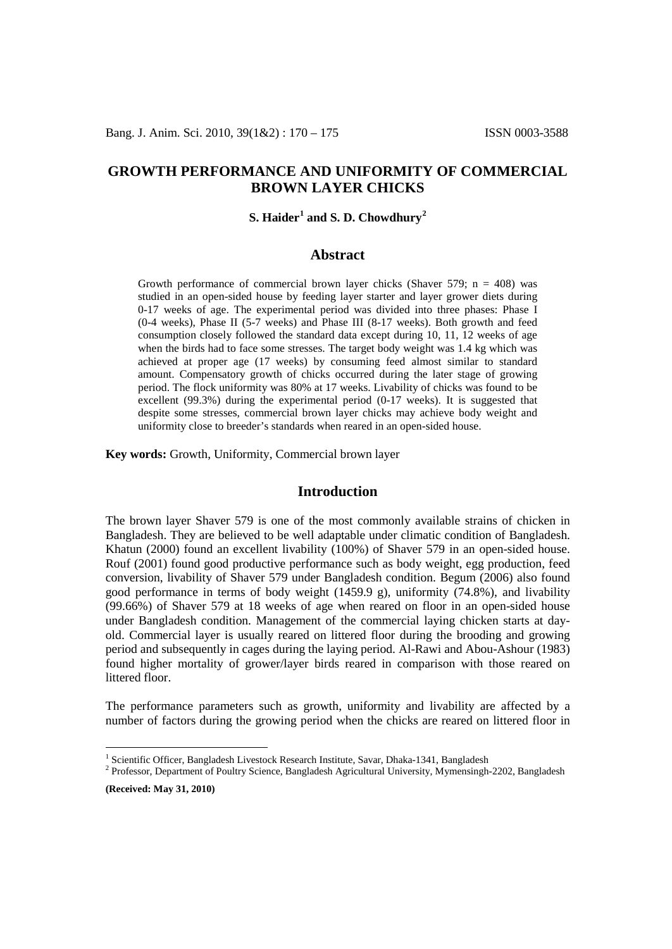# **GROWTH PERFORMANCE AND UNIFORMITY OF COMMERCIAL BROWN LAYER CHICKS**

## **S. Haider[1](#page-0-0) and S. D. Chowdhury[2](#page-0-1)**

### **Abstract**

Growth performance of commercial brown layer chicks (Shaver 579;  $n = 408$ ) was studied in an open-sided house by feeding layer starter and layer grower diets during 0-17 weeks of age. The experimental period was divided into three phases: Phase I (0-4 weeks), Phase II (5-7 weeks) and Phase III (8-17 weeks). Both growth and feed consumption closely followed the standard data except during 10, 11, 12 weeks of age when the birds had to face some stresses. The target body weight was 1.4 kg which was achieved at proper age (17 weeks) by consuming feed almost similar to standard amount. Compensatory growth of chicks occurred during the later stage of growing period. The flock uniformity was 80% at 17 weeks. Livability of chicks was found to be excellent (99.3%) during the experimental period (0-17 weeks). It is suggested that despite some stresses, commercial brown layer chicks may achieve body weight and uniformity close to breeder's standards when reared in an open-sided house.

**Key words:** Growth, Uniformity, Commercial brown layer

### **Introduction**

The brown layer Shaver 579 is one of the most commonly available strains of chicken in Bangladesh. They are believed to be well adaptable under climatic condition of Bangladesh. Khatun (2000) found an excellent livability (100%) of Shaver 579 in an open-sided house. Rouf (2001) found good productive performance such as body weight, egg production, feed conversion, livability of Shaver 579 under Bangladesh condition. Begum (2006) also found good performance in terms of body weight (1459.9 g), uniformity (74.8%), and livability (99.66%) of Shaver 579 at 18 weeks of age when reared on floor in an open-sided house under Bangladesh condition. Management of the commercial laying chicken starts at dayold. Commercial layer is usually reared on littered floor during the brooding and growing period and subsequently in cages during the laying period. Al-Rawi and Abou-Ashour (1983) found higher mortality of grower/layer birds reared in comparison with those reared on littered floor.

The performance parameters such as growth, uniformity and livability are affected by a number of factors during the growing period when the chicks are reared on littered floor in

**(Received: May 31, 2010)**

<span id="page-0-1"></span><span id="page-0-0"></span><sup>&</sup>lt;sup>1</sup> Scientific Officer, Bangladesh Livestock Research Institute, Savar, Dhaka-1341, Bangladesh  $^{2}$  Professor, Department of Poultry Science, Bangladesh Agricultural University, Mymensingh-2202, Bangladesh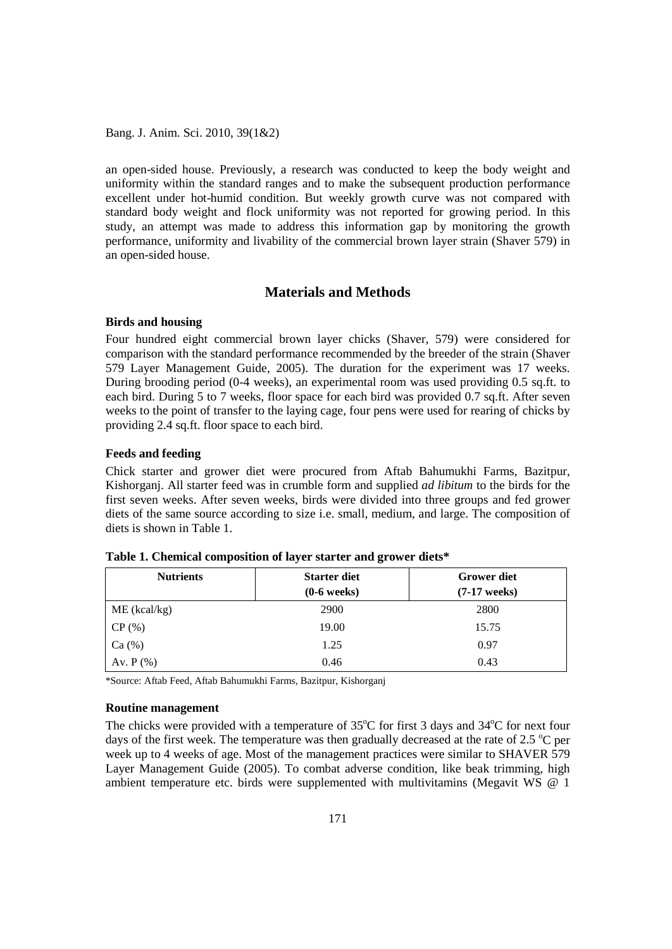Bang. J. Anim. Sci. 2010, 39(1&2)

an open-sided house. Previously, a research was conducted to keep the body weight and uniformity within the standard ranges and to make the subsequent production performance excellent under hot-humid condition. But weekly growth curve was not compared with standard body weight and flock uniformity was not reported for growing period. In this study, an attempt was made to address this information gap by monitoring the growth performance, uniformity and livability of the commercial brown layer strain (Shaver 579) in an open-sided house.

# **Materials and Methods**

#### **Birds and housing**

Four hundred eight commercial brown layer chicks (Shaver, 579) were considered for comparison with the standard performance recommended by the breeder of the strain (Shaver 579 Layer Management Guide, 2005). The duration for the experiment was 17 weeks. During brooding period (0-4 weeks), an experimental room was used providing 0.5 sq.ft. to each bird. During 5 to 7 weeks, floor space for each bird was provided 0.7 sq.ft. After seven weeks to the point of transfer to the laying cage, four pens were used for rearing of chicks by providing 2.4 sq.ft. floor space to each bird.

### **Feeds and feeding**

Chick starter and grower diet were procured from Aftab Bahumukhi Farms, Bazitpur, Kishorganj. All starter feed was in crumble form and supplied *ad libitum* to the birds for the first seven weeks. After seven weeks, birds were divided into three groups and fed grower diets of the same source according to size i.e. small, medium, and large. The composition of diets is shown in Table 1.

| <b>Nutrients</b> | <b>Starter diet</b> | <b>Grower diet</b> |  |
|------------------|---------------------|--------------------|--|
|                  | $(0-6$ weeks)       | $(7-17$ weeks)     |  |
| $ME$ (kcal/kg)   | 2900                | 2800               |  |
| CP(%)            | 19.00               | 15.75              |  |
| Ca (%)           | 1.25                | 0.97               |  |
| Av. $P$ $%$      | 0.46                | 0.43               |  |

|  |  |  | Table 1. Chemical composition of layer starter and grower diets* |
|--|--|--|------------------------------------------------------------------|
|--|--|--|------------------------------------------------------------------|

\*Source: Aftab Feed, Aftab Bahumukhi Farms, Bazitpur, Kishorganj

#### **Routine management**

The chicks were provided with a temperature of  $35^{\circ}$ C for first 3 days and  $34^{\circ}$ C for next four days of the first week. The temperature was then gradually decreased at the rate of 2.5  $^{\circ}$ C per week up to 4 weeks of age. Most of the management practices were similar to SHAVER 579 Layer Management Guide (2005). To combat adverse condition, like beak trimming, high ambient temperature etc. birds were supplemented with multivitamins (Megavit WS @ 1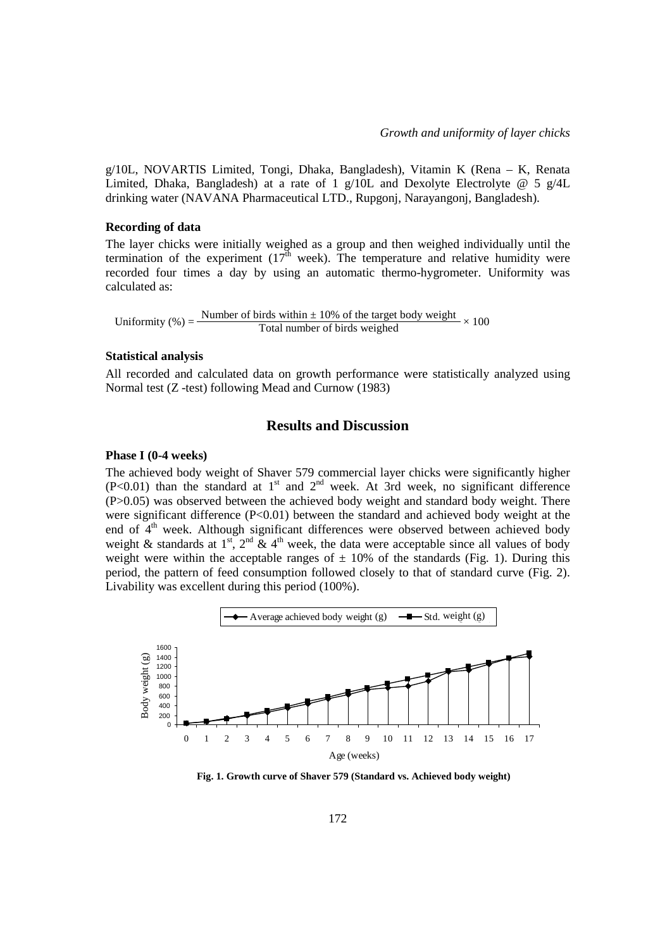g/10L, NOVARTIS Limited, Tongi, Dhaka, Bangladesh), Vitamin K (Rena – K, Renata Limited, Dhaka, Bangladesh) at a rate of 1 g/10L and Dexolyte Electrolyte @ 5 g/4L drinking water (NAVANA Pharmaceutical LTD., Rupgonj, Narayangonj, Bangladesh).

#### **Recording of data**

The layer chicks were initially weighed as a group and then weighed individually until the termination of the experiment  $(17<sup>th</sup>$  week). The temperature and relative humidity were recorded four times a day by using an automatic thermo-hygrometer. Uniformity was calculated as:

Uniformity (%) =  $\frac{\text{Number of birds within } \pm 10\% \text{ of the target body weight}}{\text{Total number of birds weighed}} \times 100$ 

#### **Statistical analysis**

All recorded and calculated data on growth performance were statistically analyzed using Normal test (Z -test) following Mead and Curnow (1983)

### **Results and Discussion**

#### **Phase I (0-4 weeks)**

The achieved body weight of Shaver 579 commercial layer chicks were significantly higher  $(P<0.01)$  than the standard at 1<sup>st</sup> and 2<sup>nd</sup> week. At 3rd week, no significant difference (P>0.05) was observed between the achieved body weight and standard body weight. There were significant difference (P<0.01) between the standard and achieved body weight at the end of 4<sup>th</sup> week. Although significant differences were observed between achieved body weight & standards at 1<sup>st</sup>, 2<sup>nd</sup> & 4<sup>th</sup> week, the data were acceptable since all values of body weight were within the acceptable ranges of  $\pm$  10% of the standards (Fig. 1). During this period, the pattern of feed consumption followed closely to that of standard curve (Fig. 2). Livability was excellent during this period (100%).



**Fig. 1. Growth curve of Shaver 579 (Standard vs. Achieved body weight)**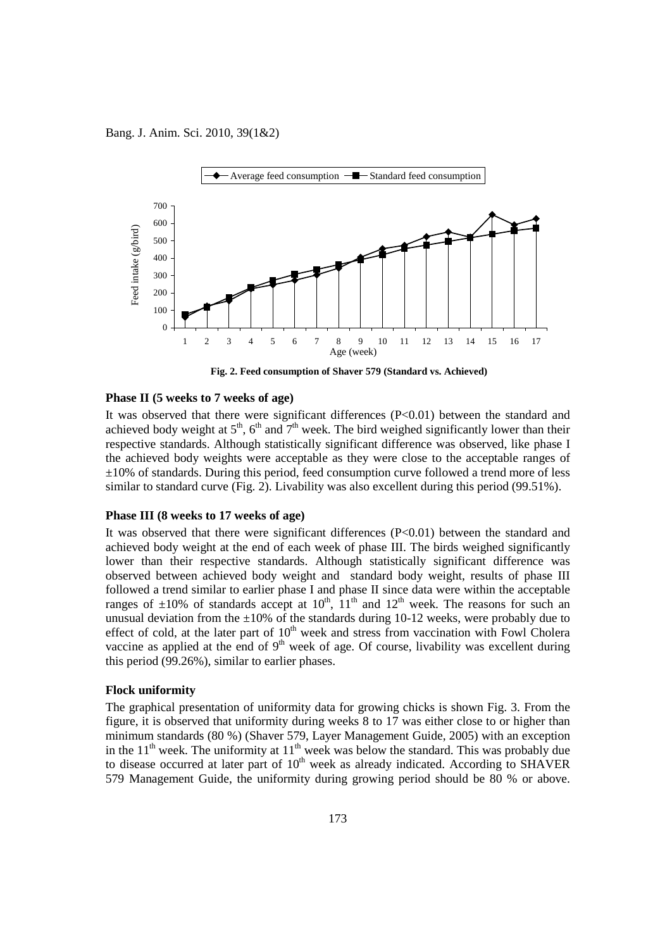Bang. J. Anim. Sci. 2010, 39(1&2)



**Fig. 2. Feed consumption of Shaver 579 (Standard vs. Achieved)**

#### **Phase II (5 weeks to 7 weeks of age)**

It was observed that there were significant differences  $(P<0.01)$  between the standard and achieved body weight at  $5<sup>th</sup>$ ,  $6<sup>th</sup>$  and  $7<sup>th</sup>$  week. The bird weighed significantly lower than their respective standards. Although statistically significant difference was observed, like phase I the achieved body weights were acceptable as they were close to the acceptable ranges of ±10% of standards. During this period, feed consumption curve followed a trend more of less similar to standard curve (Fig. 2). Livability was also excellent during this period (99.51%).

#### **Phase III (8 weeks to 17 weeks of age)**

It was observed that there were significant differences  $(P<0.01)$  between the standard and achieved body weight at the end of each week of phase III. The birds weighed significantly lower than their respective standards. Although statistically significant difference was observed between achieved body weight and standard body weight, results of phase III followed a trend similar to earlier phase I and phase II since data were within the acceptable ranges of  $\pm 10\%$  of standards accept at  $10^{th}$ ,  $11^{th}$  and  $12^{th}$  week. The reasons for such an unusual deviation from the  $\pm 10\%$  of the standards during 10-12 weeks, were probably due to effect of cold, at the later part of  $10<sup>th</sup>$  week and stress from vaccination with Fowl Cholera vaccine as applied at the end of  $9<sup>th</sup>$  week of age. Of course, livability was excellent during this period (99.26%), similar to earlier phases.

#### **Flock uniformity**

The graphical presentation of uniformity data for growing chicks is shown Fig. 3. From the figure, it is observed that uniformity during weeks 8 to 17 was either close to or higher than minimum standards (80 %) (Shaver 579, Layer Management Guide, 2005) with an exception in the  $11<sup>th</sup>$  week. The uniformity at  $11<sup>th</sup>$  week was below the standard. This was probably due to disease occurred at later part of  $10<sup>th</sup>$  week as already indicated. According to SHAVER 579 Management Guide, the uniformity during growing period should be 80 % or above.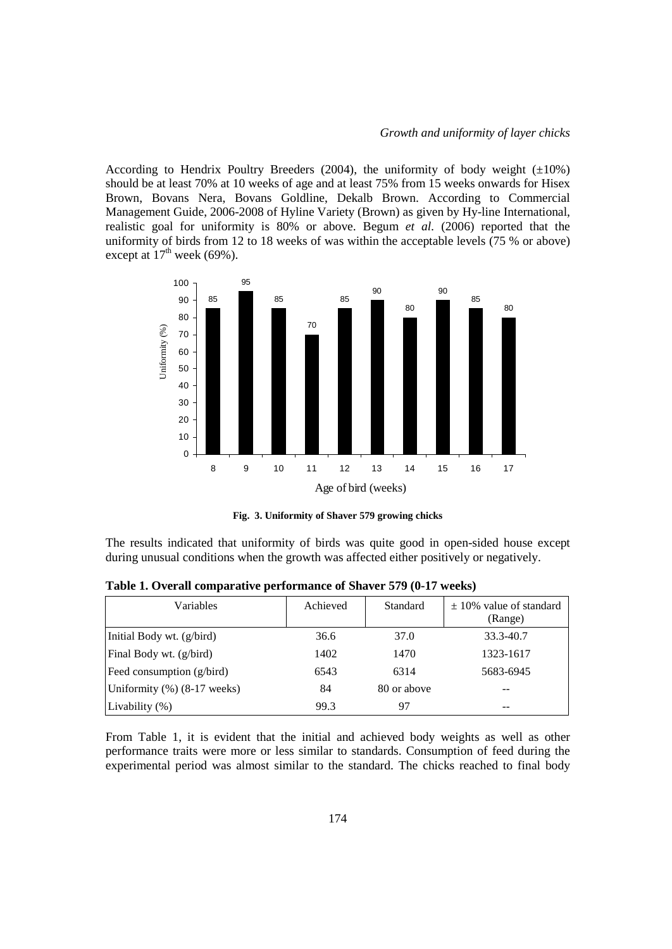According to Hendrix Poultry Breeders (2004), the uniformity of body weight  $(\pm 10\%)$ should be at least 70% at 10 weeks of age and at least 75% from 15 weeks onwards for Hisex Brown, Bovans Nera, Bovans Goldline, Dekalb Brown. According to Commercial Management Guide, 2006-2008 of Hyline Variety (Brown) as given by Hy-line International, realistic goal for uniformity is 80% or above. Begum *et al.* (2006) reported that the uniformity of birds from 12 to 18 weeks of was within the acceptable levels (75 % or above) except at  $17<sup>th</sup>$  week (69%).



**Fig. 3. Uniformity of Shaver 579 growing chicks**

The results indicated that uniformity of birds was quite good in open-sided house except during unusual conditions when the growth was affected either positively or negatively.

| Variables                      | Achieved | Standard    | $\pm$ 10% value of standard<br>(Range) |
|--------------------------------|----------|-------------|----------------------------------------|
| Initial Body wt. (g/bird)      | 36.6     | 37.0        | 33.3-40.7                              |
| Final Body wt. (g/bird)        | 1402     | 1470        | 1323-1617                              |
| Feed consumption (g/bird)      | 6543     | 6314        | 5683-6945                              |
| Uniformity $(\%)$ (8-17 weeks) | 84       | 80 or above |                                        |
| Livability $(\%)$              | 99.3     | 97          | --                                     |

**Table 1. Overall comparative performance of Shaver 579 (0-17 weeks)**

From Table 1, it is evident that the initial and achieved body weights as well as other performance traits were more or less similar to standards. Consumption of feed during the experimental period was almost similar to the standard. The chicks reached to final body